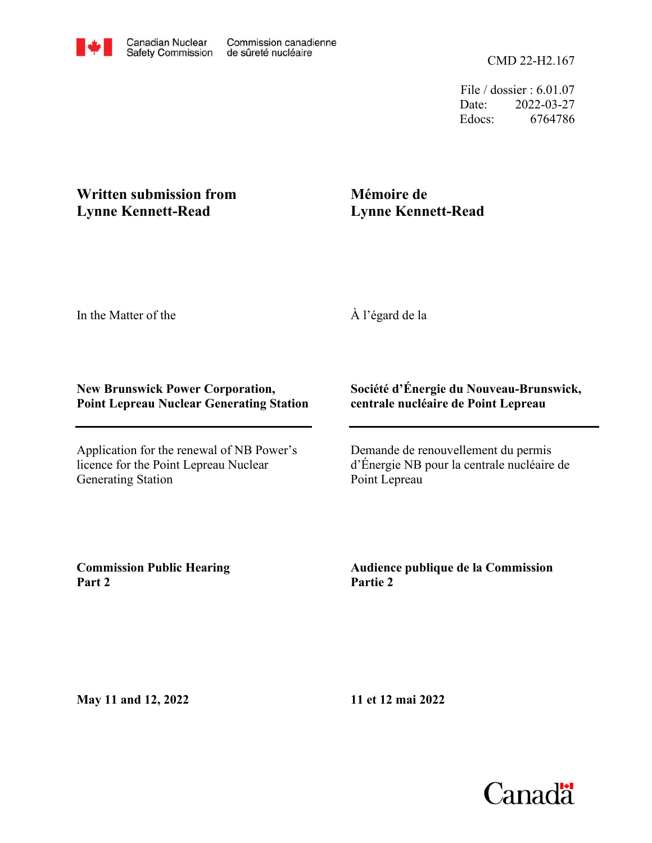File / dossier : 6.01.07 Date: 2022-03-27 Edocs: 6764786

## **Written submission from Lynne Kennett-Read**

## **Mémoire de Lynne Kennett-Read**

In the Matter of the

À l'égard de la

## **New Brunswick Power Corporation, Point Lepreau Nuclear Generating Station**

Application for the renewal of NB Power's licence for the Point Lepreau Nuclear Generating Station

## **Société d'Énergie du Nouveau-Brunswick, centrale nucléaire de Point Lepreau**

Demande de renouvellement du permis d'Énergie NB pour la centrale nucléaire de Point Lepreau

**Commission Public Hearing Part 2**

**Audience publique de la Commission Partie 2**

**May 11 and 12, 2022**

**11 et 12 mai 2022**